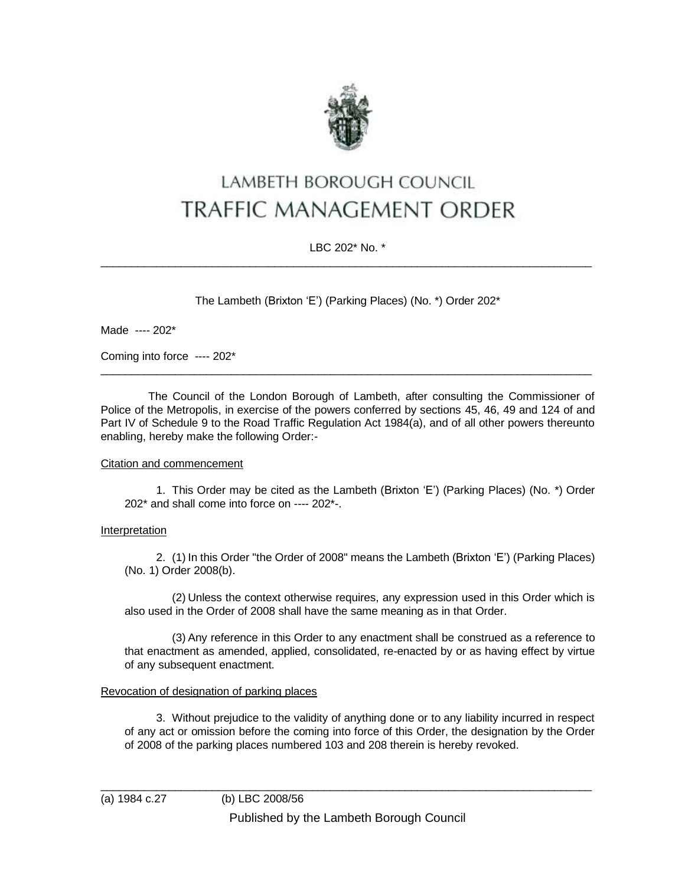

# **LAMBETH BOROUGH COUNCIL TRAFFIC MANAGEMENT ORDER**

# LBC 202\* No. \* \_\_\_\_\_\_\_\_\_\_\_\_\_\_\_\_\_\_\_\_\_\_\_\_\_\_\_\_\_\_\_\_\_\_\_\_\_\_\_\_\_\_\_\_\_\_\_\_\_\_\_\_\_\_\_\_\_\_\_\_\_\_\_\_\_\_\_\_\_\_\_\_\_\_\_\_\_\_\_

The Lambeth (Brixton 'E') (Parking Places) (No. \*) Order 202\*

Made ---- 202\*

Coming into force ---- 202\*

The Council of the London Borough of Lambeth, after consulting the Commissioner of Police of the Metropolis, in exercise of the powers conferred by sections 45, 46, 49 and 124 of and Part IV of Schedule 9 to the Road Traffic Regulation Act 1984(a), and of all other powers thereunto enabling, hereby make the following Order:-

 $\_$  ,  $\_$  ,  $\_$  ,  $\_$  ,  $\_$  ,  $\_$  ,  $\_$  ,  $\_$  ,  $\_$  ,  $\_$  ,  $\_$  ,  $\_$  ,  $\_$  ,  $\_$  ,  $\_$  ,  $\_$  ,  $\_$  ,  $\_$  ,  $\_$  ,  $\_$  ,  $\_$  ,  $\_$  ,  $\_$  ,  $\_$  ,  $\_$  ,  $\_$  ,  $\_$  ,  $\_$  ,  $\_$  ,  $\_$  ,  $\_$  ,  $\_$  ,  $\_$  ,  $\_$  ,  $\_$  ,  $\_$  ,  $\_$  ,

## Citation and commencement

1. This Order may be cited as the Lambeth (Brixton 'E') (Parking Places) (No. \*) Order 202\* and shall come into force on ---- 202\*-.

## Interpretation

2. (1) In this Order "the Order of 2008" means the Lambeth (Brixton 'E') (Parking Places) (No. 1) Order 2008(b).

(2) Unless the context otherwise requires, any expression used in this Order which is also used in the Order of 2008 shall have the same meaning as in that Order.

(3) Any reference in this Order to any enactment shall be construed as a reference to that enactment as amended, applied, consolidated, re-enacted by or as having effect by virtue of any subsequent enactment.

## Revocation of designation of parking places

3. Without prejudice to the validity of anything done or to any liability incurred in respect of any act or omission before the coming into force of this Order, the designation by the Order of 2008 of the parking places numbered 103 and 208 therein is hereby revoked.

 $\_$  ,  $\_$  ,  $\_$  ,  $\_$  ,  $\_$  ,  $\_$  ,  $\_$  ,  $\_$  ,  $\_$  ,  $\_$  ,  $\_$  ,  $\_$  ,  $\_$  ,  $\_$  ,  $\_$  ,  $\_$  ,  $\_$  ,  $\_$  ,  $\_$  ,  $\_$  ,  $\_$  ,  $\_$  ,  $\_$  ,  $\_$  ,  $\_$  ,  $\_$  ,  $\_$  ,  $\_$  ,  $\_$  ,  $\_$  ,  $\_$  ,  $\_$  ,  $\_$  ,  $\_$  ,  $\_$  ,  $\_$  ,  $\_$  ,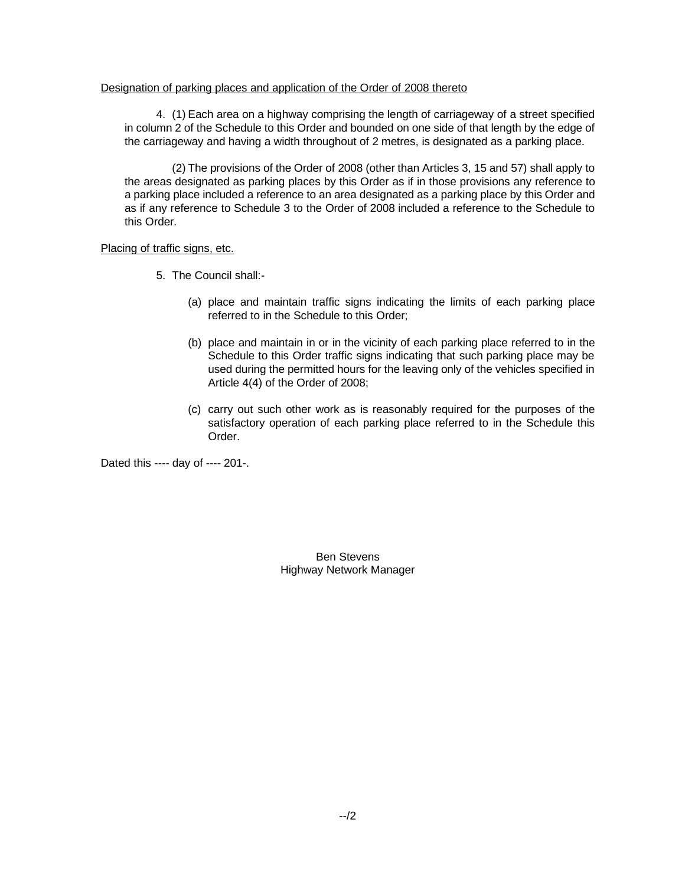## Designation of parking places and application of the Order of 2008 thereto

4. (1) Each area on a highway comprising the length of carriageway of a street specified in column 2 of the Schedule to this Order and bounded on one side of that length by the edge of the carriageway and having a width throughout of 2 metres, is designated as a parking place.

(2) The provisions of the Order of 2008 (other than Articles 3, 15 and 57) shall apply to the areas designated as parking places by this Order as if in those provisions any reference to a parking place included a reference to an area designated as a parking place by this Order and as if any reference to Schedule 3 to the Order of 2008 included a reference to the Schedule to this Order.

## Placing of traffic signs, etc.

- 5. The Council shall:-
	- (a) place and maintain traffic signs indicating the limits of each parking place referred to in the Schedule to this Order;
	- (b) place and maintain in or in the vicinity of each parking place referred to in the Schedule to this Order traffic signs indicating that such parking place may be used during the permitted hours for the leaving only of the vehicles specified in Article 4(4) of the Order of 2008;
	- (c) carry out such other work as is reasonably required for the purposes of the satisfactory operation of each parking place referred to in the Schedule this Order.

Dated this ---- day of ---- 201-.

Ben Stevens Highway Network Manager